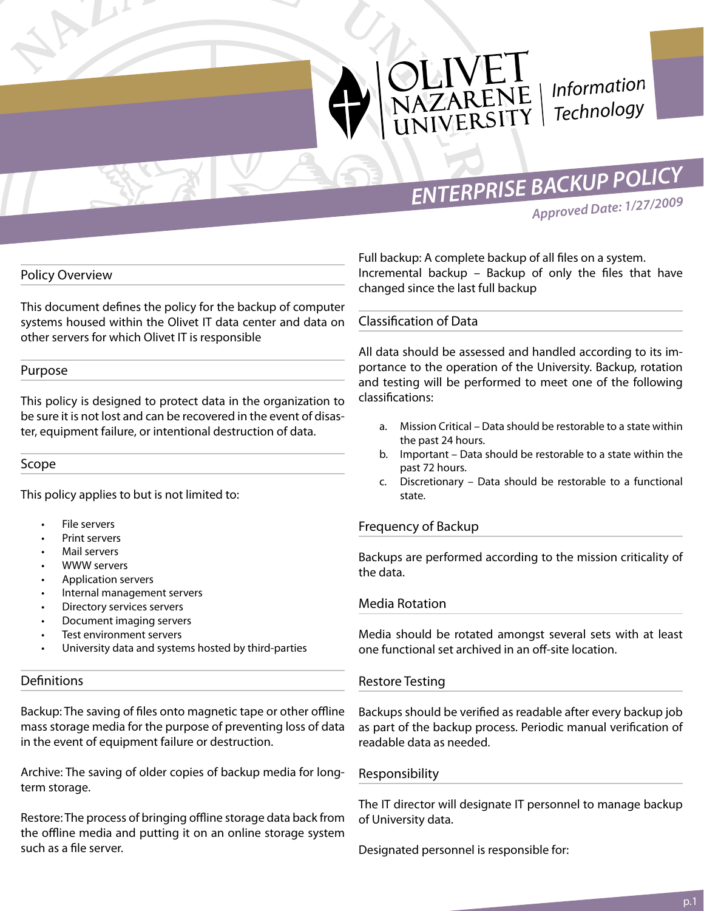

*Information Technology*

*ENTERPRISE BACKUP POLICY*

*Approved Date: 1/27/2009*

# Policy Overview

This document defines the policy for the backup of computer systems housed within the Olivet IT data center and data on other servers for which Olivet IT is responsible

### Purpose

This policy is designed to protect data in the organization to be sure it is not lost and can be recovered in the event of disaster, equipment failure, or intentional destruction of data.

### Scope

This policy applies to but is not limited to:

- File servers
- Print servers
- Mail servers
- **WWW servers**
- Application servers
- Internal management servers
- Directory services servers
- Document imaging servers
- Test environment servers
- University data and systems hosted by third-parties

### **Definitions**

Backup: The saving of files onto magnetic tape or other offline mass storage media for the purpose of preventing loss of data in the event of equipment failure or destruction.

Archive: The saving of older copies of backup media for longterm storage.

Restore: The process of bringing offline storage data back from the offline media and putting it on an online storage system such as a file server.

Full backup: A complete backup of all files on a system. Incremental backup – Backup of only the files that have changed since the last full backup

# Classification of Data

All data should be assessed and handled according to its importance to the operation of the University. Backup, rotation and testing will be performed to meet one of the following classifications:

- a. Mission Critical Data should be restorable to a state within the past 24 hours.
- b. Important Data should be restorable to a state within the past 72 hours.
- c. Discretionary Data should be restorable to a functional state.

# Frequency of Backup

Backups are performed according to the mission criticality of the data.

# Media Rotation

Media should be rotated amongst several sets with at least one functional set archived in an off-site location.

### Restore Testing

Backups should be verified as readable after every backup job as part of the backup process. Periodic manual verification of readable data as needed.

# Responsibility

The IT director will designate IT personnel to manage backup of University data.

Designated personnel is responsible for: